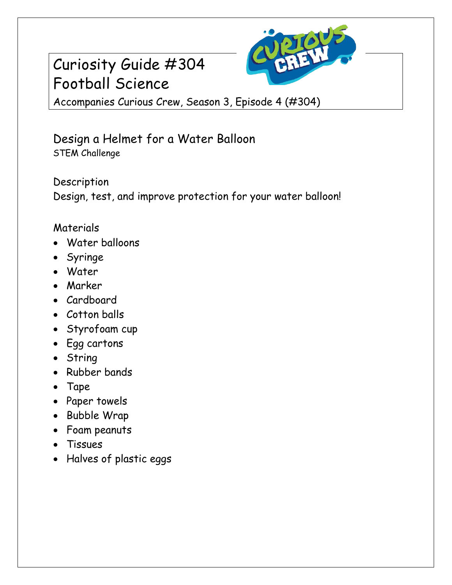# Curiosity Guide #304 Football Science



Accompanies Curious Crew, Season 3, Episode 4 (#304)

### Design a Helmet for a Water Balloon STEM Challenge

Description Design, test, and improve protection for your water balloon!

#### Materials

- Water balloons
- Syringe
- Water
- Marker
- Cardboard
- Cotton balls
- Styrofoam cup
- Egg cartons
- String
- Rubber bands
- Tape
- Paper towels
- Bubble Wrap
- Foam peanuts
- Tissues
- Halves of plastic eggs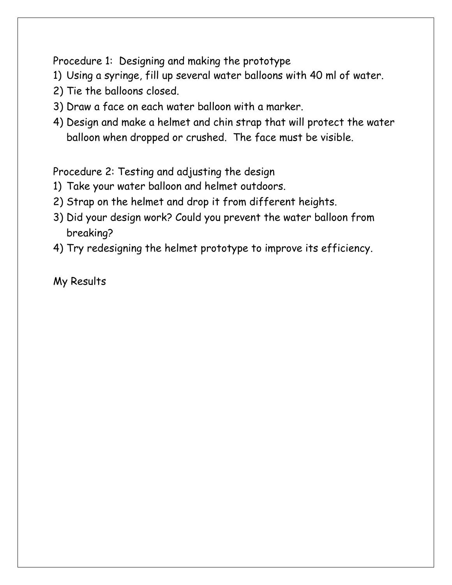Procedure 1: Designing and making the prototype

- 1) Using a syringe, fill up several water balloons with 40 ml of water.
- 2) Tie the balloons closed.
- 3) Draw a face on each water balloon with a marker.
- 4) Design and make a helmet and chin strap that will protect the water balloon when dropped or crushed. The face must be visible.

Procedure 2: Testing and adjusting the design

- 1) Take your water balloon and helmet outdoors.
- 2) Strap on the helmet and drop it from different heights.
- 3) Did your design work? Could you prevent the water balloon from breaking?
- 4) Try redesigning the helmet prototype to improve its efficiency.

My Results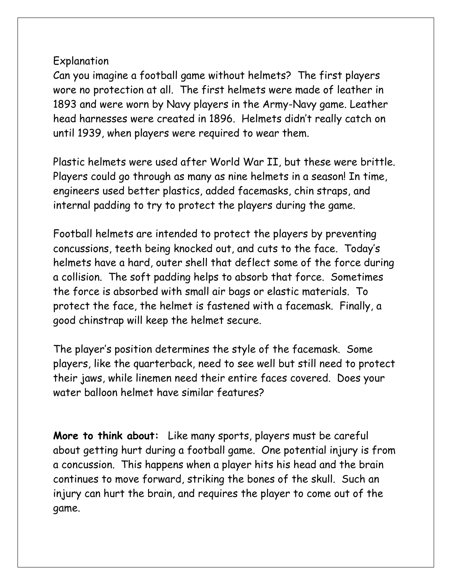#### Explanation

Can you imagine a football game without helmets? The first players wore no protection at all. The first helmets were made of leather in 1893 and were worn by Navy players in the Army-Navy game. Leather head harnesses were created in 1896. Helmets didn't really catch on until 1939, when players were required to wear them.

Plastic helmets were used after World War II, but these were brittle. Players could go through as many as nine helmets in a season! In time, engineers used better plastics, added facemasks, chin straps, and internal padding to try to protect the players during the game.

Football helmets are intended to protect the players by preventing concussions, teeth being knocked out, and cuts to the face. Today's helmets have a hard, outer shell that deflect some of the force during a collision. The soft padding helps to absorb that force. Sometimes the force is absorbed with small air bags or elastic materials. To protect the face, the helmet is fastened with a facemask. Finally, a good chinstrap will keep the helmet secure.

The player's position determines the style of the facemask. Some players, like the quarterback, need to see well but still need to protect their jaws, while linemen need their entire faces covered. Does your water balloon helmet have similar features?

**More to think about:** Like many sports, players must be careful about getting hurt during a football game. One potential injury is from a concussion. This happens when a player hits his head and the brain continues to move forward, striking the bones of the skull. Such an injury can hurt the brain, and requires the player to come out of the game.